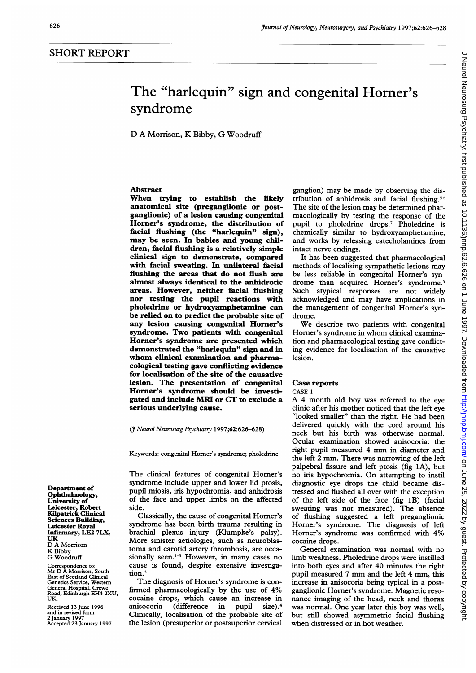# The "harlequin" sign and congenital Horner's syndrome

## D A Morrison, K Bibby, G Woodruff

# Abstract

When trying to establish the likely anatomical site (preganglionic or postganglionic) of a lesion causing congenital Horner's syndrome, the distribution of facial flushing (the "harlequin" sign), may be seen. In babies and young children, facial flushing is a relatively simple clinical sign to demonstrate, compared with facial sweating. In unilateral facial flushing the areas that do not flush are almost always identical to the anhidrotic areas. However, neither facial flushing nor testing the pupil reactions with pholedrine or hydroxyamphetamine can be relied on to predict the probable site of any lesion causing congenital Horner's syndrome. Two patients with congenital Horner's syndrome are presented which demonstrated the "harlequin" sign and in whom clinical examination and pharmacological testing gave conflicting evidence for localisation of the site of the causative lesion. The presentation of congenital Horner's syndrome should be investigated and include MRI or CT to exclude a serious underlying cause.

(7 Neurol Neurosurg Psychiatry 1997;62:626-628)

Keywords: congenital Homer's syndrome; pholedrine

The clinical features of congenital Homer's syndrome include upper and lower lid ptosis, pupil miosis, iris hypochromia, and anhidrosis of the face and upper limbs on the affected side.

Classically, the cause of congenital Homer's syndrome has been birth trauma resulting in brachial plexus injury (Klumpke's palsy). More sinister aetiologies, such as neuroblastoma and carotid artery thrombosis, are occasionally seen.<sup>1-3</sup> However, in many cases no cause is found, despite extensive investigation.<sup>3</sup>

The diagnosis of Homer's syndrome is confirmed pharmacologically by the use of 4% cocaine drops, which cause an increase in anisocoria (difference in pupil size).4 Clinically, localisation of the probable site of the lesion (presuperior or postsuperior cervical

ganglion) may be made by observing the distribution of anhidrosis and facial flushing.56 The site of the lesion may be determined pharmacologically by testing the response of the pupil to pholedrine drops.7 Pholedrine is chemically similar to hydroxyamphetamine, and works by releasing catecholamines from intact nerve endings.

It has been suggested that pharmacological methods of localising sympathetic lesions may be less reliable in congenital Homer's syndrome than acquired Horner's syndrome.<sup>5</sup> Such atypical responses are not widely acknowledged and may have implications in the management of congenital Homer's syndrome.

We describe two patients with congenital Horner's syndrome in whom clinical examination and pharmacological testing gave conflicting evidence for localisation of the causative lesion.

#### Case reports

CASE <sup>1</sup>

A <sup>4</sup> month old boy was referred to the eye clinic after his mother noticed that the left eye "looked smaller" than the right. He had been delivered quickly with the cord around his neck but his birth was otherwise normal. Ocular examination showed anisocoria: the right pupil measured <sup>4</sup> mm in diameter and the left 2 mm. There was narrowing of the left palpebral fissure and left ptosis (fig 1A), but no iris hypochromia. On attempting to instil diagnostic eye drops the child became distressed and flushed all over with the exception of the left side of the face (fig 1B) (facial sweating was not measured). The absence of flushing suggested a left preganglionic Homer's syndrome. The diagnosis of left Homer's syndrome was confirmed with 4% cocaine drops.

General examination was normal with no limb weakness. Pholedrine drops were instilled into both eyes and after 40 minutes the right pupil measured <sup>7</sup> mm and the left <sup>4</sup> mm, this increase in anisocoria being typical in a postganglionic Homer's syndrome. Magnetic resonance imaging of the head, neck and thorax was normal. One year later this boy was well, but still showed asymmetric facial flushing when distressed or in hot weather.

Department of Ophthalmology, University of Leicester, Robert Kilpatrick Clinical Sciences Building, Leicester Royal Infirmary, LE2 7LX, UK D A Morrison K Bibby G Woodruff

Correspondence to: Mr D A Morrison, South East of Scotland Clinical Genetics Service, Western General Hospital, Crewe Road, Edinburgh EH4 2XU, UK.

Received 13 June 1996 and in revised form 2 January 1997 Accepted 23 January 1997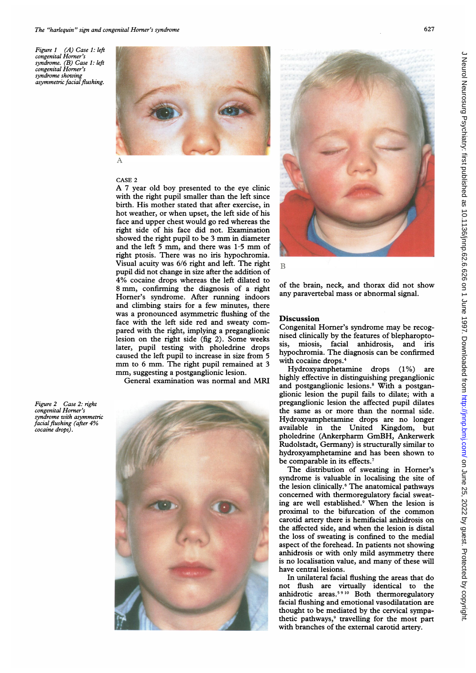Figure <sup>1</sup> (A) Case 1: left congenital Homer's syndrome. (B) Case 1: left congenital Homer's syndrome showing asymmetric facial flushing.



CASE 2 A <sup>7</sup> year old boy presented to the eye clinic with the right pupil smaller than the left since birth. His mother stated that after exercise, in hot weather, or when upset, the left side of his face and upper chest would go red where as the right side of his face did not. Examination showed the right pupil to be 3 mm in diameter and the left 5 mm, and there was  $1.5$  mm of right ptosis. There was no iris hypochromia. Visual acuity was 6/6 right and left. The right pupil did not change in size after the addit ion of 4% cocaine drops whereas the left dilated to <sup>8</sup> mm, confirming the diagnosis of <sup>a</sup> right Homer's syndrome. After running in doors and climbing stairs for a few minutes, there was a pronounced asymmetric flushing of the face with the left side red and sweaty pared with the right, implying a pregang lesion on the right side (fig 2). Some later, pupil testing with pholedrine drops caused the left pupil to increase in size from 5 mm to 6 mm. The right pupil remained at 3 mm, suggesting <sup>a</sup> postganglionic lesion.

General examination was normal and

Figure 2 Case 2: right congenital Homer's syndrome with asymmetric facial flushing (after 4% cocaine drops).





B

of the brain, neck, and thorax did not show any paravertebal mass or abnormal signal.

### **Discussion**

Congenital Horner's syndrome may be recognised clinically by the features of blepharoptosis, miosis, facial anhidrosis, and iris hypochromia. The diagnosis can be confirmed<br>with cocaine drops.<sup>4</sup>

Hydroxyamphetamine drops (1%) are highly effective in distinguishing preganglionic and postganglionic lesions.8 With a postganglionic lesion the pupil fails to dilate; with a preganglionic lesion the affected pupil dilates the same as or more than the normal side. Hydroxyamphetamine drops are no longer available in the United Kingdom, but pholedrine (Ankerpharm GmBH, Ankerwerk Rudolstadt, Germany) is structurally similar to hydroxyamphetamine and has been shown to be comparable in its effects.<sup>7</sup>

The distribution of sweating in Homer's syndrome is valuable in localising the site of the lesion clinically.6 The anatomical pathways concerned with thermoregulatory facial sweating are well established.<sup>9</sup> When the lesion is proximal to the bifurcation of the common carotid artery there is hemifacial anhidrosis on the affected side, and when the lesion is distal the loss of sweating is confined to the medial aspect of the forehead. In patients not showing anhidrosis or with only mild asymmetry there is no localisation value, and many of these will have central lesions.

In unilateral facial flushing the areas that do not flush are virtually identical to the anhidrotic areas.<sup>5910</sup> Both thermoregulatory facial flushing and emotional vasodilatation are thought to be mediated by the cervical sympathetic pathways,<sup>9</sup> travelling for the most part with branches of the external carotid artery.